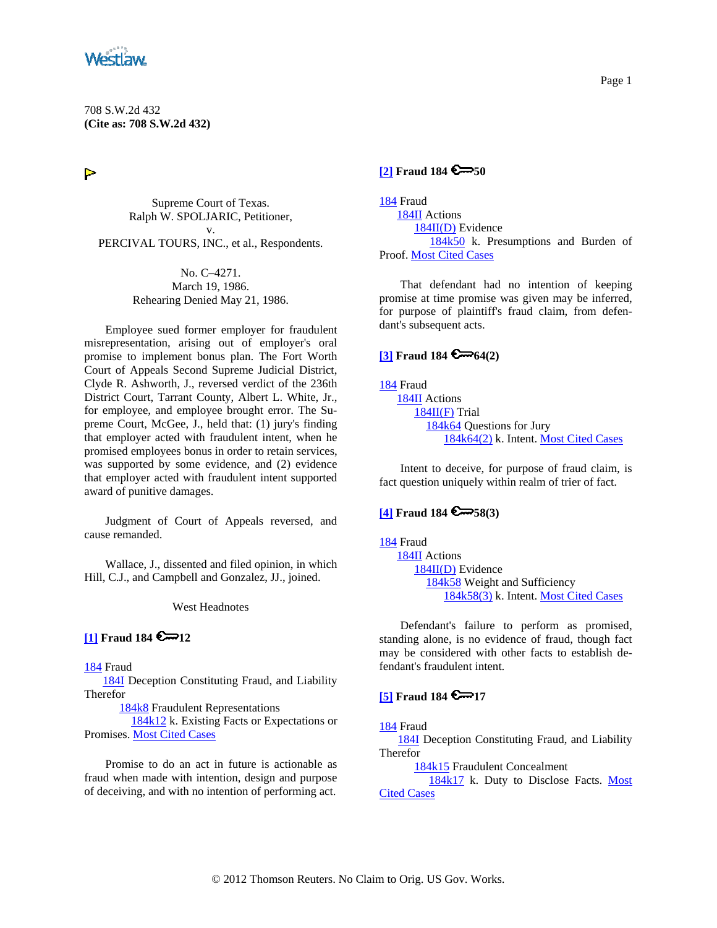<span id="page-0-0"></span>

708 S.W.2d 432 **(Cite as: 708 S.W.2d 432)**

 $\triangleright$ 

Supreme Court of Texas. Ralph W. SPOLJARIC, Petitioner, v. PERCIVAL TOURS, INC., et al., Respondents.

> No. C–4271. March 19, 1986. Rehearing Denied May 21, 1986.

Employee sued former employer for fraudulent misrepresentation, arising out of employer's oral promise to implement bonus plan. The Fort Worth Court of Appeals Second Supreme Judicial District, Clyde R. Ashworth, J., reversed verdict of the 236th District Court, Tarrant County, Albert L. White, Jr., for employee, and employee brought error. The Supreme Court, McGee, J., held that: (1) jury's finding that employer acted with fraudulent intent, when he promised employees bonus in order to retain services, was supported by some evidence, and (2) evidence that employer acted with fraudulent intent supported award of punitive damages.

Judgment of Court of Appeals reversed, and cause remanded.

Wallace, J., dissented and filed opinion, in which Hill, C.J., and Campbell and Gonzalez, JJ., joined.

West Headnotes

### $\left[1\right]$  **Fraud 184**  $\bigotimes 12$

[184](http://www.westlaw.com/KeyNumber/Default.wl?rs=dfa1.0&vr=2.0&CMD=KEY&DocName=184) Fraud

 [184I](http://www.westlaw.com/KeyNumber/Default.wl?rs=dfa1.0&vr=2.0&CMD=KEY&DocName=184I) Deception Constituting Fraud, and Liability Therefor

[184k8](http://www.westlaw.com/KeyNumber/Default.wl?rs=dfa1.0&vr=2.0&CMD=KEY&DocName=184k8) Fraudulent Representations

 [184k12](http://www.westlaw.com/KeyNumber/Default.wl?rs=dfa1.0&vr=2.0&CMD=KEY&DocName=184k12) k. Existing Facts or Expectations or Promises. [Most Cited Cases](http://www.westlaw.com/Digest/Default.wl?rs=dfa1.0&vr=2.0&CMD=MCC&DocName=184k12)

Promise to do an act in future is actionable as fraud when made with intention, design and purpose of deceiving, and with no intention of performing act.

## **[\[2\]](#page-2-0) Fraud 184 6**-50

[184](http://www.westlaw.com/KeyNumber/Default.wl?rs=dfa1.0&vr=2.0&CMD=KEY&DocName=184) Fraud [184II](http://www.westlaw.com/KeyNumber/Default.wl?rs=dfa1.0&vr=2.0&CMD=KEY&DocName=184II) Actions [184II\(D\)](http://www.westlaw.com/KeyNumber/Default.wl?rs=dfa1.0&vr=2.0&CMD=KEY&DocName=184II%28D%29) Evidence [184k50](http://www.westlaw.com/KeyNumber/Default.wl?rs=dfa1.0&vr=2.0&CMD=KEY&DocName=184k50) k. Presumptions and Burden of Proof. [Most Cited Cases](http://www.westlaw.com/Digest/Default.wl?rs=dfa1.0&vr=2.0&CMD=MCC&DocName=184k50)

That defendant had no intention of keeping promise at time promise was given may be inferred, for purpose of plaintiff's fraud claim, from defendant's subsequent acts.

### $\sqrt{3}$  **Fraud 184**  $\sim$  **64(2)**

[184](http://www.westlaw.com/KeyNumber/Default.wl?rs=dfa1.0&vr=2.0&CMD=KEY&DocName=184) Fraud [184II](http://www.westlaw.com/KeyNumber/Default.wl?rs=dfa1.0&vr=2.0&CMD=KEY&DocName=184II) Actions [184II\(F\)](http://www.westlaw.com/KeyNumber/Default.wl?rs=dfa1.0&vr=2.0&CMD=KEY&DocName=184II%28F%29) Trial [184k64](http://www.westlaw.com/KeyNumber/Default.wl?rs=dfa1.0&vr=2.0&CMD=KEY&DocName=184k64) Questions for Jury [184k64\(2\)](http://www.westlaw.com/KeyNumber/Default.wl?rs=dfa1.0&vr=2.0&CMD=KEY&DocName=184k64%282%29) k. Intent. [Most Cited Cases](http://www.westlaw.com/Digest/Default.wl?rs=dfa1.0&vr=2.0&CMD=MCC&DocName=184k64%282%29)

Intent to deceive, for purpose of fraud claim, is fact question uniquely within realm of trier of fact.

### **[\[4\]](#page-2-0) Fraud 184 58(3)**

[184](http://www.westlaw.com/KeyNumber/Default.wl?rs=dfa1.0&vr=2.0&CMD=KEY&DocName=184) Fraud [184II](http://www.westlaw.com/KeyNumber/Default.wl?rs=dfa1.0&vr=2.0&CMD=KEY&DocName=184II) Actions [184II\(D\)](http://www.westlaw.com/KeyNumber/Default.wl?rs=dfa1.0&vr=2.0&CMD=KEY&DocName=184II%28D%29) Evidence [184k58](http://www.westlaw.com/KeyNumber/Default.wl?rs=dfa1.0&vr=2.0&CMD=KEY&DocName=184k58) Weight and Sufficiency [184k58\(3\)](http://www.westlaw.com/KeyNumber/Default.wl?rs=dfa1.0&vr=2.0&CMD=KEY&DocName=184k58%283%29) k. Intent. [Most Cited Cases](http://www.westlaw.com/Digest/Default.wl?rs=dfa1.0&vr=2.0&CMD=MCC&DocName=184k58%283%29)

Defendant's failure to perform as promised, standing alone, is no evidence of fraud, though fact may be considered with other facts to establish defendant's fraudulent intent.

# **[\[5\]](#page-3-0) Fraud 184 6**-17

[184](http://www.westlaw.com/KeyNumber/Default.wl?rs=dfa1.0&vr=2.0&CMD=KEY&DocName=184) Fraud

 [184I](http://www.westlaw.com/KeyNumber/Default.wl?rs=dfa1.0&vr=2.0&CMD=KEY&DocName=184I) Deception Constituting Fraud, and Liability Therefor

[184k15](http://www.westlaw.com/KeyNumber/Default.wl?rs=dfa1.0&vr=2.0&CMD=KEY&DocName=184k15) Fraudulent Concealment

[184k17](http://www.westlaw.com/KeyNumber/Default.wl?rs=dfa1.0&vr=2.0&CMD=KEY&DocName=184k17) k. Duty to Disclose Facts. Most **[Cited Cases](http://www.westlaw.com/Digest/Default.wl?rs=dfa1.0&vr=2.0&CMD=MCC&DocName=184k17)**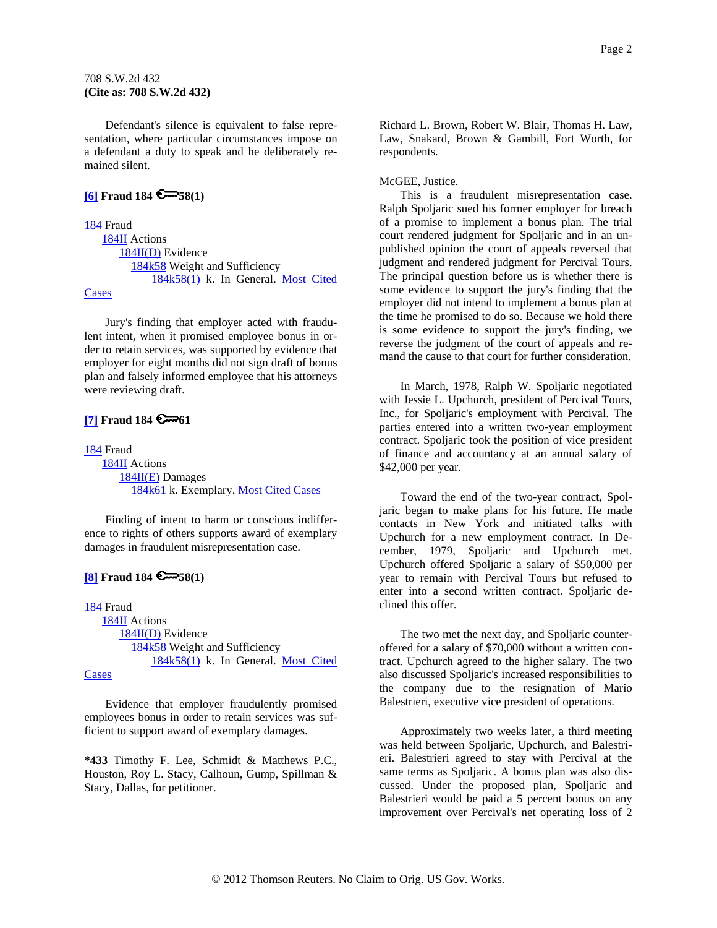### <span id="page-1-0"></span>708 S.W.2d 432 **(Cite as: 708 S.W.2d 432)**

Defendant's silence is equivalent to false representation, where particular circumstances impose on a defendant a duty to speak and he deliberately remained silent.

#### **[\[6\]](#page-3-0) Fraud 184 58(1)**

[184](http://www.westlaw.com/KeyNumber/Default.wl?rs=dfa1.0&vr=2.0&CMD=KEY&DocName=184) Fraud [184II](http://www.westlaw.com/KeyNumber/Default.wl?rs=dfa1.0&vr=2.0&CMD=KEY&DocName=184II) Actions [184II\(D\)](http://www.westlaw.com/KeyNumber/Default.wl?rs=dfa1.0&vr=2.0&CMD=KEY&DocName=184II%28D%29) Evidence [184k58](http://www.westlaw.com/KeyNumber/Default.wl?rs=dfa1.0&vr=2.0&CMD=KEY&DocName=184k58) Weight and Sufficiency [184k58\(1\)](http://www.westlaw.com/KeyNumber/Default.wl?rs=dfa1.0&vr=2.0&CMD=KEY&DocName=184k58%281%29) k. In General. [Most Cited](http://www.westlaw.com/Digest/Default.wl?rs=dfa1.0&vr=2.0&CMD=MCC&DocName=184k58%281%29)  [Cases](http://www.westlaw.com/Digest/Default.wl?rs=dfa1.0&vr=2.0&CMD=MCC&DocName=184k58%281%29)

Jury's finding that employer acted with fraudulent intent, when it promised employee bonus in order to retain services, was supported by evidence that employer for eight months did not sign draft of bonus plan and falsely informed employee that his attorneys were reviewing draft.

## **[\[7\]](#page-3-0) Fraud 184 6-61**

[184](http://www.westlaw.com/KeyNumber/Default.wl?rs=dfa1.0&vr=2.0&CMD=KEY&DocName=184) Fraud [184II](http://www.westlaw.com/KeyNumber/Default.wl?rs=dfa1.0&vr=2.0&CMD=KEY&DocName=184II) Actions [184II\(E\)](http://www.westlaw.com/KeyNumber/Default.wl?rs=dfa1.0&vr=2.0&CMD=KEY&DocName=184II%28E%29) Damages [184k61](http://www.westlaw.com/KeyNumber/Default.wl?rs=dfa1.0&vr=2.0&CMD=KEY&DocName=184k61) k. Exemplary. [Most Cited Cases](http://www.westlaw.com/Digest/Default.wl?rs=dfa1.0&vr=2.0&CMD=MCC&DocName=184k61)

Finding of intent to harm or conscious indifference to rights of others supports award of exemplary damages in fraudulent misrepresentation case.

# **[\[8\]](#page-3-0) Fraud 184 58(1)**

[184](http://www.westlaw.com/KeyNumber/Default.wl?rs=dfa1.0&vr=2.0&CMD=KEY&DocName=184) Fraud [184II](http://www.westlaw.com/KeyNumber/Default.wl?rs=dfa1.0&vr=2.0&CMD=KEY&DocName=184II) Actions [184II\(D\)](http://www.westlaw.com/KeyNumber/Default.wl?rs=dfa1.0&vr=2.0&CMD=KEY&DocName=184II%28D%29) Evidence [184k58](http://www.westlaw.com/KeyNumber/Default.wl?rs=dfa1.0&vr=2.0&CMD=KEY&DocName=184k58) Weight and Sufficiency [184k58\(1\)](http://www.westlaw.com/KeyNumber/Default.wl?rs=dfa1.0&vr=2.0&CMD=KEY&DocName=184k58%281%29) k. In General. [Most Cited](http://www.westlaw.com/Digest/Default.wl?rs=dfa1.0&vr=2.0&CMD=MCC&DocName=184k58%281%29) 

**[Cases](http://www.westlaw.com/Digest/Default.wl?rs=dfa1.0&vr=2.0&CMD=MCC&DocName=184k58%281%29)** 

Evidence that employer fraudulently promised employees bonus in order to retain services was sufficient to support award of exemplary damages.

**\*433** Timothy F. Lee, Schmidt & Matthews P.C., Houston, Roy L. Stacy, Calhoun, Gump, Spillman & Stacy, Dallas, for petitioner.

Richard L. Brown, Robert W. Blair, Thomas H. Law, Law, Snakard, Brown & Gambill, Fort Worth, for respondents.

#### McGEE, Justice.

This is a fraudulent misrepresentation case. Ralph Spoljaric sued his former employer for breach of a promise to implement a bonus plan. The trial court rendered judgment for Spoljaric and in an unpublished opinion the court of appeals reversed that judgment and rendered judgment for Percival Tours. The principal question before us is whether there is some evidence to support the jury's finding that the employer did not intend to implement a bonus plan at the time he promised to do so. Because we hold there is some evidence to support the jury's finding, we reverse the judgment of the court of appeals and remand the cause to that court for further consideration.

In March, 1978, Ralph W. Spoljaric negotiated with Jessie L. Upchurch, president of Percival Tours, Inc., for Spoljaric's employment with Percival. The parties entered into a written two-year employment contract. Spoljaric took the position of vice president of finance and accountancy at an annual salary of \$42,000 per year.

Toward the end of the two-year contract, Spoljaric began to make plans for his future. He made contacts in New York and initiated talks with Upchurch for a new employment contract. In December, 1979, Spoljaric and Upchurch met. Upchurch offered Spoljaric a salary of \$50,000 per year to remain with Percival Tours but refused to enter into a second written contract. Spoljaric declined this offer.

The two met the next day, and Spoljaric counteroffered for a salary of \$70,000 without a written contract. Upchurch agreed to the higher salary. The two also discussed Spoljaric's increased responsibilities to the company due to the resignation of Mario Balestrieri, executive vice president of operations.

Approximately two weeks later, a third meeting was held between Spoljaric, Upchurch, and Balestrieri. Balestrieri agreed to stay with Percival at the same terms as Spoljaric. A bonus plan was also discussed. Under the proposed plan, Spoljaric and Balestrieri would be paid a 5 percent bonus on any improvement over Percival's net operating loss of 2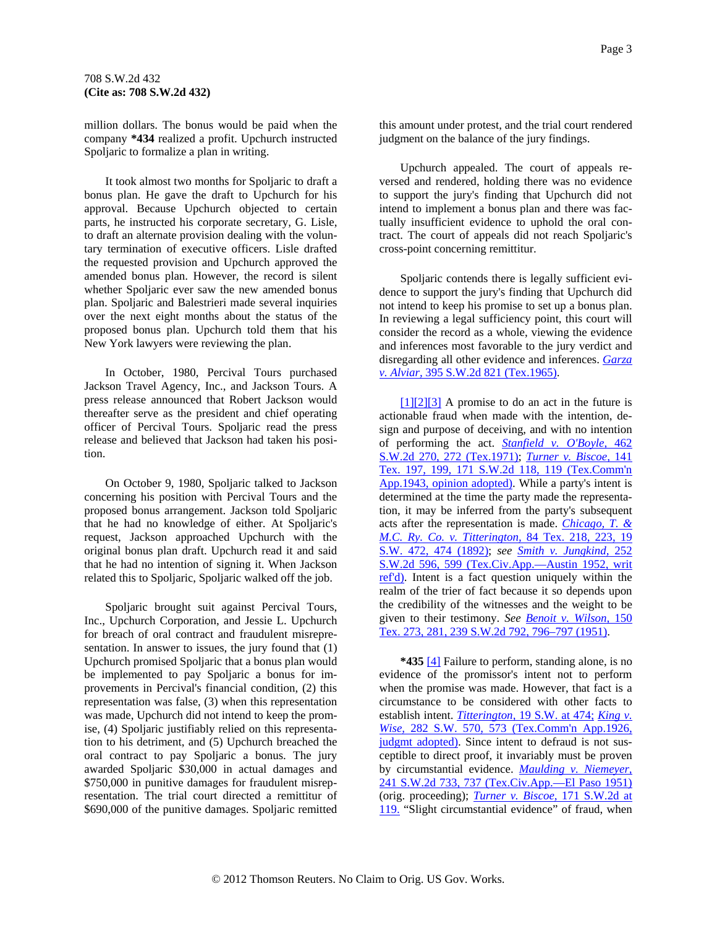<span id="page-2-0"></span>million dollars. The bonus would be paid when the company **\*434** realized a profit. Upchurch instructed Spoljaric to formalize a plan in writing.

It took almost two months for Spoljaric to draft a bonus plan. He gave the draft to Upchurch for his approval. Because Upchurch objected to certain parts, he instructed his corporate secretary, G. Lisle, to draft an alternate provision dealing with the voluntary termination of executive officers. Lisle drafted the requested provision and Upchurch approved the amended bonus plan. However, the record is silent whether Spoljaric ever saw the new amended bonus plan. Spoljaric and Balestrieri made several inquiries over the next eight months about the status of the proposed bonus plan. Upchurch told them that his New York lawyers were reviewing the plan.

In October, 1980, Percival Tours purchased Jackson Travel Agency, Inc., and Jackson Tours. A press release announced that Robert Jackson would thereafter serve as the president and chief operating officer of Percival Tours. Spoljaric read the press release and believed that Jackson had taken his position.

On October 9, 1980, Spoljaric talked to Jackson concerning his position with Percival Tours and the proposed bonus arrangement. Jackson told Spoljaric that he had no knowledge of either. At Spoljaric's request, Jackson approached Upchurch with the original bonus plan draft. Upchurch read it and said that he had no intention of signing it. When Jackson related this to Spoljaric, Spoljaric walked off the job.

Spoljaric brought suit against Percival Tours, Inc., Upchurch Corporation, and Jessie L. Upchurch for breach of oral contract and fraudulent misrepresentation. In answer to issues, the jury found that  $(1)$ Upchurch promised Spoljaric that a bonus plan would be implemented to pay Spoljaric a bonus for improvements in Percival's financial condition, (2) this representation was false, (3) when this representation was made, Upchurch did not intend to keep the promise, (4) Spoljaric justifiably relied on this representation to his detriment, and (5) Upchurch breached the oral contract to pay Spoljaric a bonus. The jury awarded Spoljaric \$30,000 in actual damages and \$750,000 in punitive damages for fraudulent misrepresentation. The trial court directed a remittitur of \$690,000 of the punitive damages. Spoljaric remitted

this amount under protest, and the trial court rendered judgment on the balance of the jury findings.

Upchurch appealed. The court of appeals reversed and rendered, holding there was no evidence to support the jury's finding that Upchurch did not intend to implement a bonus plan and there was factually insufficient evidence to uphold the oral contract. The court of appeals did not reach Spoljaric's cross-point concerning remittitur.

Spoljaric contends there is legally sufficient evidence to support the jury's finding that Upchurch did not intend to keep his promise to set up a bonus plan. In reviewing a legal sufficiency point, this court will consider the record as a whole, viewing the evidence and inferences most favorable to the jury verdict and disregarding all other evidence and inferences. *[Garza](http://www.westlaw.com/Find/Default.wl?rs=dfa1.0&vr=2.0&DB=713&FindType=Y&SerialNum=1965129312)  [v. Alviar,](http://www.westlaw.com/Find/Default.wl?rs=dfa1.0&vr=2.0&DB=713&FindType=Y&SerialNum=1965129312)* [395 S.W.2d 821 \(Tex.1965\).](http://www.westlaw.com/Find/Default.wl?rs=dfa1.0&vr=2.0&DB=713&FindType=Y&SerialNum=1965129312)

 $[1][2][3]$  A promise to do an act in the future is actionable fraud when made with the intention, design and purpose of deceiving, and with no intention of performing the act. *[Stanfield v. O'Boyle,](http://www.westlaw.com/Find/Default.wl?rs=dfa1.0&vr=2.0&DB=713&FindType=Y&ReferencePositionType=S&SerialNum=1971129514&ReferencePosition=272)* [462](http://www.westlaw.com/Find/Default.wl?rs=dfa1.0&vr=2.0&DB=713&FindType=Y&ReferencePositionType=S&SerialNum=1971129514&ReferencePosition=272)  [S.W.2d 270, 272 \(Tex.1971\);](http://www.westlaw.com/Find/Default.wl?rs=dfa1.0&vr=2.0&DB=713&FindType=Y&ReferencePositionType=S&SerialNum=1971129514&ReferencePosition=272) *[Turner v. Biscoe,](http://www.westlaw.com/Find/Default.wl?rs=dfa1.0&vr=2.0&DB=713&FindType=Y&ReferencePositionType=S&SerialNum=1943102542&ReferencePosition=119)* [141](http://www.westlaw.com/Find/Default.wl?rs=dfa1.0&vr=2.0&DB=713&FindType=Y&ReferencePositionType=S&SerialNum=1943102542&ReferencePosition=119)  [Tex. 197, 199, 171 S.W.2d 118, 119 \(Tex.Comm'n](http://www.westlaw.com/Find/Default.wl?rs=dfa1.0&vr=2.0&DB=713&FindType=Y&ReferencePositionType=S&SerialNum=1943102542&ReferencePosition=119)  [App.1943, opinion adopted\).](http://www.westlaw.com/Find/Default.wl?rs=dfa1.0&vr=2.0&DB=713&FindType=Y&ReferencePositionType=S&SerialNum=1943102542&ReferencePosition=119) While a party's intent is determined at the time the party made the representation, it may be inferred from the party's subsequent acts after the representation is made. *[Chicago, T. &](http://www.westlaw.com/Find/Default.wl?rs=dfa1.0&vr=2.0&DB=712&FindType=Y&ReferencePositionType=S&SerialNum=1892000156&ReferencePosition=474)  [M.C. Ry. Co. v. Titterington,](http://www.westlaw.com/Find/Default.wl?rs=dfa1.0&vr=2.0&DB=712&FindType=Y&ReferencePositionType=S&SerialNum=1892000156&ReferencePosition=474)* [84 Tex. 218, 223, 19](http://www.westlaw.com/Find/Default.wl?rs=dfa1.0&vr=2.0&DB=712&FindType=Y&ReferencePositionType=S&SerialNum=1892000156&ReferencePosition=474)  [S.W. 472, 474 \(1892\)](http://www.westlaw.com/Find/Default.wl?rs=dfa1.0&vr=2.0&DB=712&FindType=Y&ReferencePositionType=S&SerialNum=1892000156&ReferencePosition=474); *see [Smith v. Jungkind,](http://www.westlaw.com/Find/Default.wl?rs=dfa1.0&vr=2.0&DB=713&FindType=Y&ReferencePositionType=S&SerialNum=1952122056&ReferencePosition=599)* [252](http://www.westlaw.com/Find/Default.wl?rs=dfa1.0&vr=2.0&DB=713&FindType=Y&ReferencePositionType=S&SerialNum=1952122056&ReferencePosition=599)  [S.W.2d 596, 599 \(Tex.Civ.App.—Austin 1952, writ](http://www.westlaw.com/Find/Default.wl?rs=dfa1.0&vr=2.0&DB=713&FindType=Y&ReferencePositionType=S&SerialNum=1952122056&ReferencePosition=599)  [ref'd\)](http://www.westlaw.com/Find/Default.wl?rs=dfa1.0&vr=2.0&DB=713&FindType=Y&ReferencePositionType=S&SerialNum=1952122056&ReferencePosition=599). Intent is a fact question uniquely within the realm of the trier of fact because it so depends upon the credibility of the witnesses and the weight to be given to their testimony. *See [Benoit v. Wilson,](http://www.westlaw.com/Find/Default.wl?rs=dfa1.0&vr=2.0&DB=713&FindType=Y&ReferencePositionType=S&SerialNum=1951102013&ReferencePosition=796)* [150](http://www.westlaw.com/Find/Default.wl?rs=dfa1.0&vr=2.0&DB=713&FindType=Y&ReferencePositionType=S&SerialNum=1951102013&ReferencePosition=796)  [Tex. 273, 281, 239 S.W.2d 792, 796–797 \(1951\).](http://www.westlaw.com/Find/Default.wl?rs=dfa1.0&vr=2.0&DB=713&FindType=Y&ReferencePositionType=S&SerialNum=1951102013&ReferencePosition=796)

**\*435** [\[4\]](#page-0-0) Failure to perform, standing alone, is no evidence of the promissor's intent not to perform when the promise was made. However, that fact is a circumstance to be considered with other facts to establish intent. *[Titterington,](http://www.westlaw.com/Find/Default.wl?rs=dfa1.0&vr=2.0&DB=712&FindType=Y&ReferencePositionType=S&SerialNum=1892000156&ReferencePosition=474)* [19 S.W. at 474;](http://www.westlaw.com/Find/Default.wl?rs=dfa1.0&vr=2.0&DB=712&FindType=Y&ReferencePositionType=S&SerialNum=1892000156&ReferencePosition=474) *[King v.](http://www.westlaw.com/Find/Default.wl?rs=dfa1.0&vr=2.0&DB=712&FindType=Y&ReferencePositionType=S&SerialNum=1926126710&ReferencePosition=573)  [Wise,](http://www.westlaw.com/Find/Default.wl?rs=dfa1.0&vr=2.0&DB=712&FindType=Y&ReferencePositionType=S&SerialNum=1926126710&ReferencePosition=573)* [282 S.W. 570, 573 \(Tex.Comm'n App.1926,](http://www.westlaw.com/Find/Default.wl?rs=dfa1.0&vr=2.0&DB=712&FindType=Y&ReferencePositionType=S&SerialNum=1926126710&ReferencePosition=573)  [judgmt adopted\)](http://www.westlaw.com/Find/Default.wl?rs=dfa1.0&vr=2.0&DB=712&FindType=Y&ReferencePositionType=S&SerialNum=1926126710&ReferencePosition=573). Since intent to defraud is not susceptible to direct proof, it invariably must be prove[n](http://www.westlaw.com/Find/Default.wl?rs=dfa1.0&vr=2.0&DB=713&FindType=Y&ReferencePositionType=S&SerialNum=1951122125&ReferencePosition=737)  by circumstantial evidence. *[Maulding v. Niemeyer,](http://www.westlaw.com/Find/Default.wl?rs=dfa1.0&vr=2.0&DB=713&FindType=Y&ReferencePositionType=S&SerialNum=1951122125&ReferencePosition=737)* [241 S.W.2d 733, 737 \(Tex.Civ.App.—El Paso 1951\)](http://www.westlaw.com/Find/Default.wl?rs=dfa1.0&vr=2.0&DB=713&FindType=Y&ReferencePositionType=S&SerialNum=1951122125&ReferencePosition=737) (orig. proceeding); *[Turner v. Biscoe,](http://www.westlaw.com/Find/Default.wl?rs=dfa1.0&vr=2.0&DB=713&FindType=Y&ReferencePositionType=S&SerialNum=1943102542&ReferencePosition=119)* [171 S.W.2d at](http://www.westlaw.com/Find/Default.wl?rs=dfa1.0&vr=2.0&DB=713&FindType=Y&ReferencePositionType=S&SerialNum=1943102542&ReferencePosition=119)  [119.](http://www.westlaw.com/Find/Default.wl?rs=dfa1.0&vr=2.0&DB=713&FindType=Y&ReferencePositionType=S&SerialNum=1943102542&ReferencePosition=119) "Slight circumstantial evidence" of fraud, when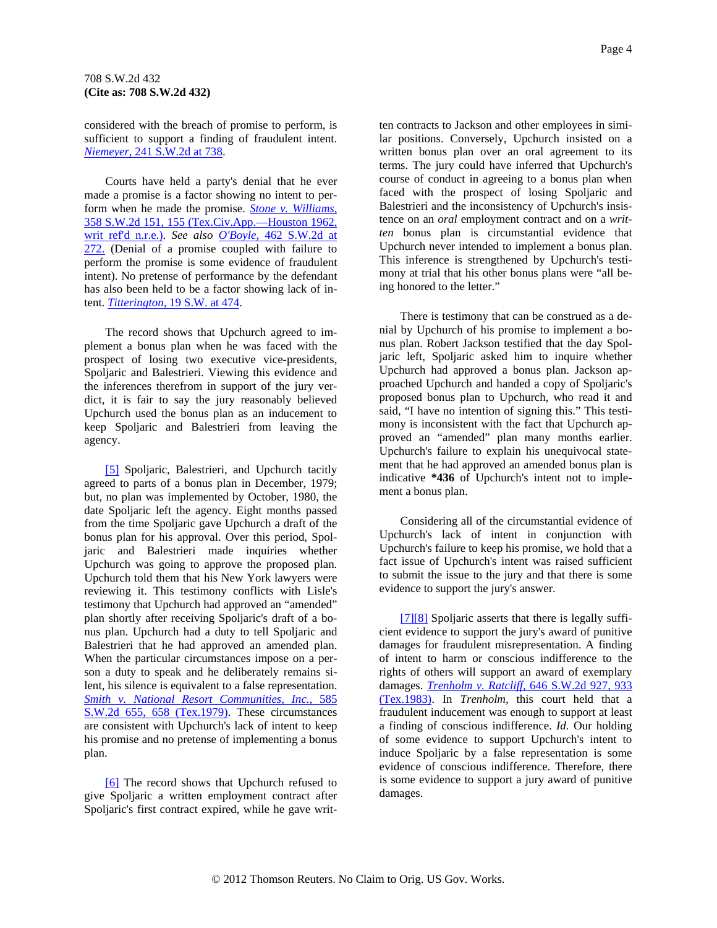<span id="page-3-0"></span>considered with the breach of promise to perform, is sufficient to support a finding of fraudulent intent. *[Niemeyer,](http://www.westlaw.com/Find/Default.wl?rs=dfa1.0&vr=2.0&DB=713&FindType=Y&ReferencePositionType=S&SerialNum=1951122125&ReferencePosition=738)* [241 S.W.2d at 738](http://www.westlaw.com/Find/Default.wl?rs=dfa1.0&vr=2.0&DB=713&FindType=Y&ReferencePositionType=S&SerialNum=1951122125&ReferencePosition=738).

Courts have held a party's denial that he ever made a promise is a factor showing no intent to perform when he made the promise. *[Stone v. Williams,](http://www.westlaw.com/Find/Default.wl?rs=dfa1.0&vr=2.0&DB=713&FindType=Y&ReferencePositionType=S&SerialNum=1962130102&ReferencePosition=155)* [358 S.W.2d 151, 155 \(Tex.Civ.App.—Houston 1962,](http://www.westlaw.com/Find/Default.wl?rs=dfa1.0&vr=2.0&DB=713&FindType=Y&ReferencePositionType=S&SerialNum=1962130102&ReferencePosition=155)  [writ ref'd n.r.e.\)](http://www.westlaw.com/Find/Default.wl?rs=dfa1.0&vr=2.0&DB=713&FindType=Y&ReferencePositionType=S&SerialNum=1962130102&ReferencePosition=155). *See also [O'Boyle,](http://www.westlaw.com/Find/Default.wl?rs=dfa1.0&vr=2.0&DB=713&FindType=Y&ReferencePositionType=S&SerialNum=1971129514&ReferencePosition=272)* [462 S.W.2d at](http://www.westlaw.com/Find/Default.wl?rs=dfa1.0&vr=2.0&DB=713&FindType=Y&ReferencePositionType=S&SerialNum=1971129514&ReferencePosition=272)  [272.](http://www.westlaw.com/Find/Default.wl?rs=dfa1.0&vr=2.0&DB=713&FindType=Y&ReferencePositionType=S&SerialNum=1971129514&ReferencePosition=272) (Denial of a promise coupled with failure to perform the promise is some evidence of fraudulent intent). No pretense of performance by the defendant has also been held to be a factor showing lack of intent. *[Titterington,](http://www.westlaw.com/Find/Default.wl?rs=dfa1.0&vr=2.0&DB=712&FindType=Y&ReferencePositionType=S&SerialNum=1892000156&ReferencePosition=474)* [19 S.W. at 474.](http://www.westlaw.com/Find/Default.wl?rs=dfa1.0&vr=2.0&DB=712&FindType=Y&ReferencePositionType=S&SerialNum=1892000156&ReferencePosition=474)

The record shows that Upchurch agreed to implement a bonus plan when he was faced with the prospect of losing two executive vice-presidents, Spoljaric and Balestrieri. Viewing this evidence and the inferences therefrom in support of the jury verdict, it is fair to say the jury reasonably believed Upchurch used the bonus plan as an inducement to keep Spoljaric and Balestrieri from leaving the agency.

[\[5\]](#page-0-0) Spoljaric, Balestrieri, and Upchurch tacitly agreed to parts of a bonus plan in December, 1979; but, no plan was implemented by October, 1980, the date Spoljaric left the agency. Eight months passed from the time Spoljaric gave Upchurch a draft of the bonus plan for his approval. Over this period, Spoljaric and Balestrieri made inquiries whether Upchurch was going to approve the proposed plan. Upchurch told them that his New York lawyers were reviewing it. This testimony conflicts with Lisle's testimony that Upchurch had approved an "amended" plan shortly after receiving Spoljaric's draft of a bonus plan. Upchurch had a duty to tell Spoljaric and Balestrieri that he had approved an amended plan. When the particular circumstances impose on a person a duty to speak and he deliberately remains silent, his silence is equivalent to a false representation. *[Smith v. National Resort Communities, Inc.,](http://www.westlaw.com/Find/Default.wl?rs=dfa1.0&vr=2.0&DB=713&FindType=Y&ReferencePositionType=S&SerialNum=1979130724&ReferencePosition=658)* [585](http://www.westlaw.com/Find/Default.wl?rs=dfa1.0&vr=2.0&DB=713&FindType=Y&ReferencePositionType=S&SerialNum=1979130724&ReferencePosition=658)  [S.W.2d 655, 658 \(Tex.1979\).](http://www.westlaw.com/Find/Default.wl?rs=dfa1.0&vr=2.0&DB=713&FindType=Y&ReferencePositionType=S&SerialNum=1979130724&ReferencePosition=658) These circumstances are consistent with Upchurch's lack of intent to keep his promise and no pretense of implementing a bonus plan.

[\[6\]](#page-1-0) The record shows that Upchurch refused to give Spoljaric a written employment contract after Spoljaric's first contract expired, while he gave written contracts to Jackson and other employees in similar positions. Conversely, Upchurch insisted on a written bonus plan over an oral agreement to its terms. The jury could have inferred that Upchurch's course of conduct in agreeing to a bonus plan when faced with the prospect of losing Spoljaric and Balestrieri and the inconsistency of Upchurch's insistence on an *oral* employment contract and on a *written* bonus plan is circumstantial evidence that Upchurch never intended to implement a bonus plan. This inference is strengthened by Upchurch's testimony at trial that his other bonus plans were "all being honored to the letter."

There is testimony that can be construed as a denial by Upchurch of his promise to implement a bonus plan. Robert Jackson testified that the day Spoljaric left, Spoljaric asked him to inquire whether Upchurch had approved a bonus plan. Jackson approached Upchurch and handed a copy of Spoljaric's proposed bonus plan to Upchurch, who read it and said, "I have no intention of signing this." This testimony is inconsistent with the fact that Upchurch approved an "amended" plan many months earlier. Upchurch's failure to explain his unequivocal statement that he had approved an amended bonus plan is indicative **\*436** of Upchurch's intent not to implement a bonus plan.

Considering all of the circumstantial evidence of Upchurch's lack of intent in conjunction with Upchurch's failure to keep his promise, we hold that a fact issue of Upchurch's intent was raised sufficient to submit the issue to the jury and that there is some evidence to support the jury's answer.

[\[7\]\[8\]](#page-1-0) Spoljaric asserts that there is legally sufficient evidence to support the jury's award of punitive damages for fraudulent misrepresentation. A finding of intent to harm or conscious indifference to the rights of others will support an award of exemplary damages. *[Trenholm v. Ratcliff,](http://www.westlaw.com/Find/Default.wl?rs=dfa1.0&vr=2.0&DB=713&FindType=Y&ReferencePositionType=S&SerialNum=1983109861&ReferencePosition=933)* [646 S.W.2d 927, 933](http://www.westlaw.com/Find/Default.wl?rs=dfa1.0&vr=2.0&DB=713&FindType=Y&ReferencePositionType=S&SerialNum=1983109861&ReferencePosition=933)  [\(Tex.1983\).](http://www.westlaw.com/Find/Default.wl?rs=dfa1.0&vr=2.0&DB=713&FindType=Y&ReferencePositionType=S&SerialNum=1983109861&ReferencePosition=933) In *Trenholm,* this court held that a fraudulent inducement was enough to support at least a finding of conscious indifference. *Id.* Our holding of some evidence to support Upchurch's intent to induce Spoljaric by a false representation is some evidence of conscious indifference. Therefore, there is some evidence to support a jury award of punitive damages.